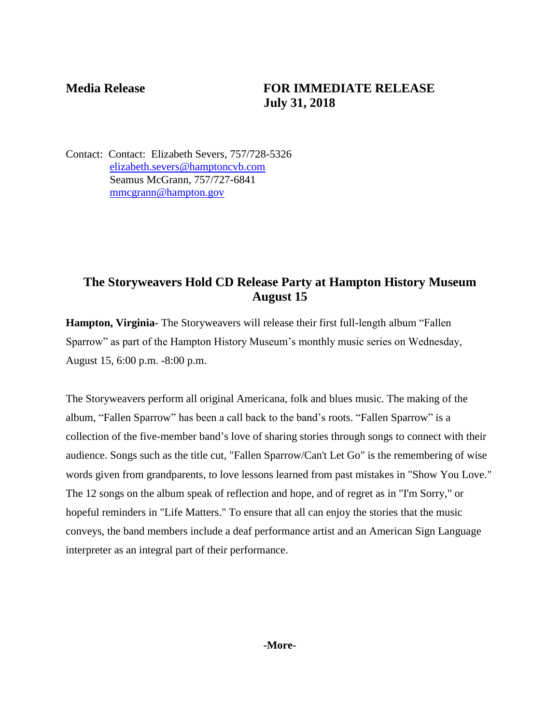## **Media Release FOR IMMEDIATE RELEASE July 31, 2018**

Contact: Contact: Elizabeth Severs, 757/728-5326 [elizabeth.severs@hamptoncvb.com](mailto:elizabeth.severs@hamptoncvb.com) Seamus McGrann, 757/727-6841 [mmcgrann@hampton.gov](mailto:mmcgrann@hampton.gov)

# **The Storyweavers Hold CD Release Party at Hampton History Museum August 15**

**Hampton, Virginia-** The Storyweavers will release their first full-length album "Fallen Sparrow" as part of the Hampton History Museum's monthly music series on Wednesday, August 15, 6:00 p.m. -8:00 p.m.

The Storyweavers perform all original Americana, folk and blues music. The making of the album, "Fallen Sparrow" has been a call back to the band's roots. "Fallen Sparrow" is a collection of the five-member band's love of sharing stories through songs to connect with their audience. Songs such as the title cut, "Fallen Sparrow/Can't Let Go" is the remembering of wise words given from grandparents, to love lessons learned from past mistakes in "Show You Love." The 12 songs on the album speak of reflection and hope, and of regret as in "I'm Sorry," or hopeful reminders in "Life Matters." To ensure that all can enjoy the stories that the music conveys, the band members include a deaf performance artist and an American Sign Language interpreter as an integral part of their performance.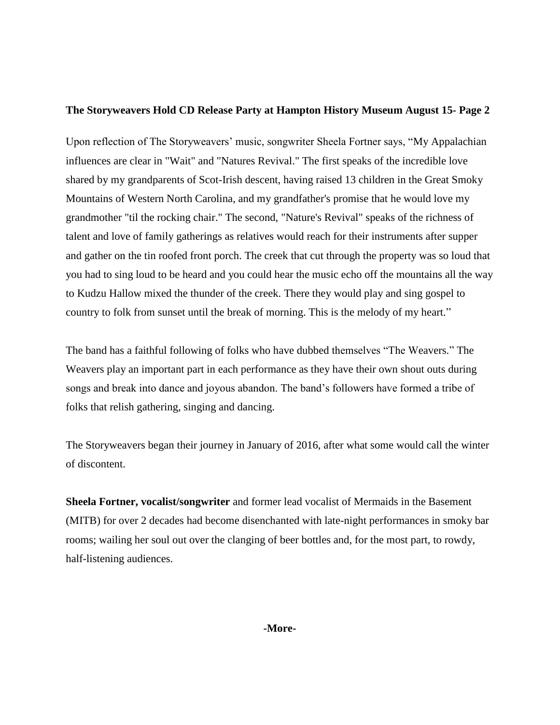### **The Storyweavers Hold CD Release Party at Hampton History Museum August 15- Page 2**

Upon reflection of The Storyweavers' music, songwriter Sheela Fortner says, "My Appalachian influences are clear in "Wait" and "Natures Revival." The first speaks of the incredible love shared by my grandparents of Scot-Irish descent, having raised 13 children in the Great Smoky Mountains of Western North Carolina, and my grandfather's promise that he would love my grandmother "til the rocking chair." The second, "Nature's Revival" speaks of the richness of talent and love of family gatherings as relatives would reach for their instruments after supper and gather on the tin roofed front porch. The creek that cut through the property was so loud that you had to sing loud to be heard and you could hear the music echo off the mountains all the way to Kudzu Hallow mixed the thunder of the creek. There they would play and sing gospel to country to folk from sunset until the break of morning. This is the melody of my heart."

The band has a faithful following of folks who have dubbed themselves "The Weavers." The Weavers play an important part in each performance as they have their own shout outs during songs and break into dance and joyous abandon. The band's followers have formed a tribe of folks that relish gathering, singing and dancing.

The Storyweavers began their journey in January of 2016, after what some would call the winter of discontent.

**Sheela Fortner, vocalist/songwriter** and former lead vocalist of Mermaids in the Basement (MITB) for over 2 decades had become disenchanted with late-night performances in smoky bar rooms; wailing her soul out over the clanging of beer bottles and, for the most part, to rowdy, half-listening audiences.

**-More-**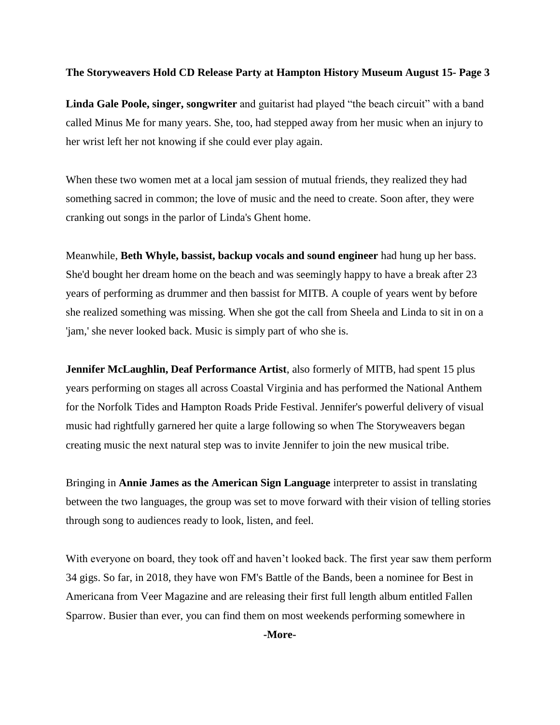#### **The Storyweavers Hold CD Release Party at Hampton History Museum August 15- Page 3**

**Linda Gale Poole, singer, songwriter** and guitarist had played "the beach circuit" with a band called Minus Me for many years. She, too, had stepped away from her music when an injury to her wrist left her not knowing if she could ever play again.

When these two women met at a local jam session of mutual friends, they realized they had something sacred in common; the love of music and the need to create. Soon after, they were cranking out songs in the parlor of Linda's Ghent home.

Meanwhile, **Beth Whyle, bassist, backup vocals and sound engineer** had hung up her bass. She'd bought her dream home on the beach and was seemingly happy to have a break after 23 years of performing as drummer and then bassist for MITB. A couple of years went by before she realized something was missing. When she got the call from Sheela and Linda to sit in on a 'jam,' she never looked back. Music is simply part of who she is.

**Jennifer McLaughlin, Deaf Performance Artist**, also formerly of MITB, had spent 15 plus years performing on stages all across Coastal Virginia and has performed the National Anthem for the Norfolk Tides and Hampton Roads Pride Festival. Jennifer's powerful delivery of visual music had rightfully garnered her quite a large following so when The Storyweavers began creating music the next natural step was to invite Jennifer to join the new musical tribe.

Bringing in **Annie James as the American Sign Language** interpreter to assist in translating between the two languages, the group was set to move forward with their vision of telling stories through song to audiences ready to look, listen, and feel.

With everyone on board, they took off and haven't looked back. The first year saw them perform 34 gigs. So far, in 2018, they have won FM's Battle of the Bands, been a nominee for Best in Americana from Veer Magazine and are releasing their first full length album entitled Fallen Sparrow. Busier than ever, you can find them on most weekends performing somewhere in

**-More-**